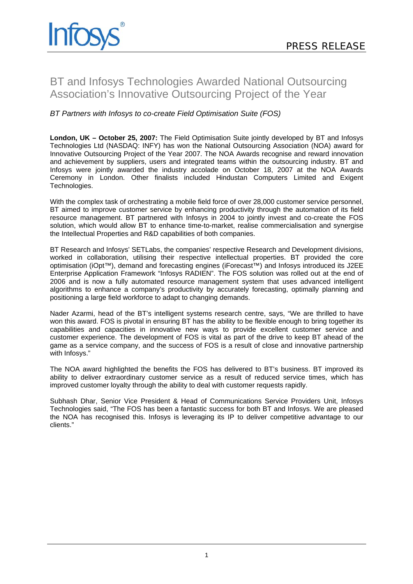# BT and Infosys Technologies Awarded National Outsourcing Association's Innovative Outsourcing Project of the Year

## *BT Partners with Infosys to co-create Field Optimisation Suite (FOS)*

**London, UK – October 25, 2007:** The Field Optimisation Suite jointly developed by BT and Infosys Technologies Ltd (NASDAQ: INFY) has won the National Outsourcing Association (NOA) award for Innovative Outsourcing Project of the Year 2007. The NOA Awards recognise and reward innovation and achievement by suppliers, users and integrated teams within the outsourcing industry. BT and Infosys were jointly awarded the industry accolade on October 18, 2007 at the NOA Awards Ceremony in London. Other finalists included Hindustan Computers Limited and Exigent Technologies.

With the complex task of orchestrating a mobile field force of over 28,000 customer service personnel, BT aimed to improve customer service by enhancing productivity through the automation of its field resource management. BT partnered with Infosys in 2004 to jointly invest and co-create the FOS solution, which would allow BT to enhance time-to-market, realise commercialisation and synergise the Intellectual Properties and R&D capabilities of both companies.

BT Research and Infosys' SETLabs, the companies' respective Research and Development divisions, worked in collaboration, utilising their respective intellectual properties. BT provided the core optimisation (iOpt™), demand and forecasting engines (iForecast™) and Infosys introduced its J2EE Enterprise Application Framework "Infosys RADIEN". The FOS solution was rolled out at the end of 2006 and is now a fully automated resource management system that uses advanced intelligent algorithms to enhance a company's productivity by accurately forecasting, optimally planning and positioning a large field workforce to adapt to changing demands.

Nader Azarmi, head of the BT's intelligent systems research centre, says, "We are thrilled to have won this award. FOS is pivotal in ensuring BT has the ability to be flexible enough to bring together its capabilities and capacities in innovative new ways to provide excellent customer service and customer experience. The development of FOS is vital as part of the drive to keep BT ahead of the game as a service company, and the success of FOS is a result of close and innovative partnership with Infosys."

The NOA award highlighted the benefits the FOS has delivered to BT's business. BT improved its ability to deliver extraordinary customer service as a result of reduced service times, which has improved customer loyalty through the ability to deal with customer requests rapidly.

Subhash Dhar, Senior Vice President & Head of Communications Service Providers Unit, Infosys Technologies said, "The FOS has been a fantastic success for both BT and Infosys. We are pleased the NOA has recognised this. Infosys is leveraging its IP to deliver competitive advantage to our clients."